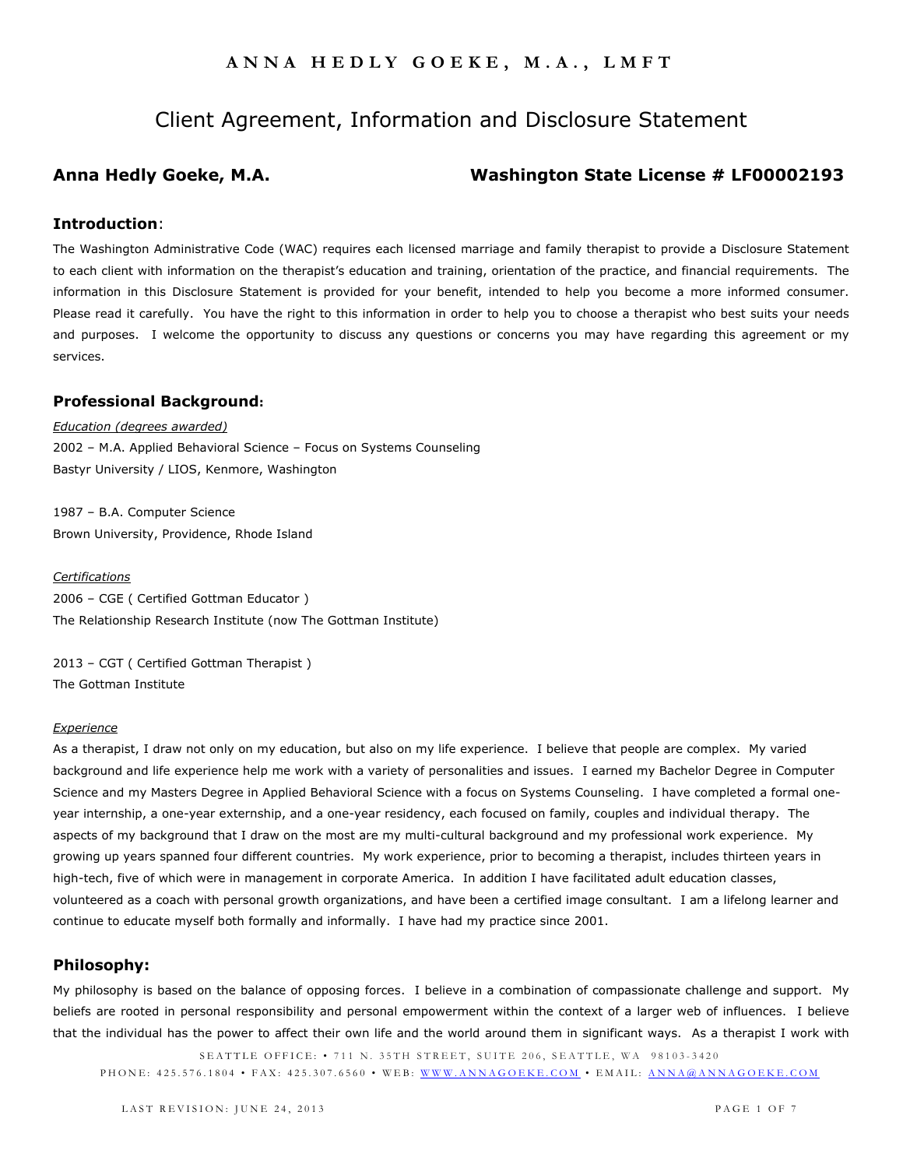# Client Agreement, Information and Disclosure Statement

# **Anna Hedly Goeke, M.A. Washington State License # LF00002193**

## **Introduction**:

The Washington Administrative Code (WAC) requires each licensed marriage and family therapist to provide a Disclosure Statement to each client with information on the therapist's education and training, orientation of the practice, and financial requirements. The information in this Disclosure Statement is provided for your benefit, intended to help you become a more informed consumer. Please read it carefully. You have the right to this information in order to help you to choose a therapist who best suits your needs and purposes. I welcome the opportunity to discuss any questions or concerns you may have regarding this agreement or my services.

### **Professional Background:**

*Education (degrees awarded)* 2002 – M.A. Applied Behavioral Science – Focus on Systems Counseling Bastyr University / LIOS, Kenmore, Washington

1987 – B.A. Computer Science Brown University, Providence, Rhode Island

#### *Certifications*

2006 – CGE ( Certified Gottman Educator ) The Relationship Research Institute (now The Gottman Institute)

2013 – CGT ( Certified Gottman Therapist ) The Gottman Institute

#### *Experience*

As a therapist, I draw not only on my education, but also on my life experience. I believe that people are complex. My varied background and life experience help me work with a variety of personalities and issues. I earned my Bachelor Degree in Computer Science and my Masters Degree in Applied Behavioral Science with a focus on Systems Counseling. I have completed a formal oneyear internship, a one-year externship, and a one-year residency, each focused on family, couples and individual therapy. The aspects of my background that I draw on the most are my multi-cultural background and my professional work experience. My growing up years spanned four different countries. My work experience, prior to becoming a therapist, includes thirteen years in high-tech, five of which were in management in corporate America. In addition I have facilitated adult education classes, volunteered as a coach with personal growth organizations, and have been a certified image consultant. I am a lifelong learner and continue to educate myself both formally and informally. I have had my practice since 2001.

### **Philosophy:**

My philosophy is based on the balance of opposing forces. I believe in a combination of compassionate challenge and support. My beliefs are rooted in personal responsibility and personal empowerment within the context of a larger web of influences. I believe that the individual has the power to affect their own life and the world around them in significant ways. As a therapist I work with

SEATTLE OFFICE: • 711 N. 35TH STREET, SUITE 206, SEATTLE, WA 98103-3420 P H O N E : 425.576.1804 • FAX: 425.307.6560 • WEB: WWW.ANNAGOEKE.COM • EMAIL: ANNA@ANNAGOEKE.COM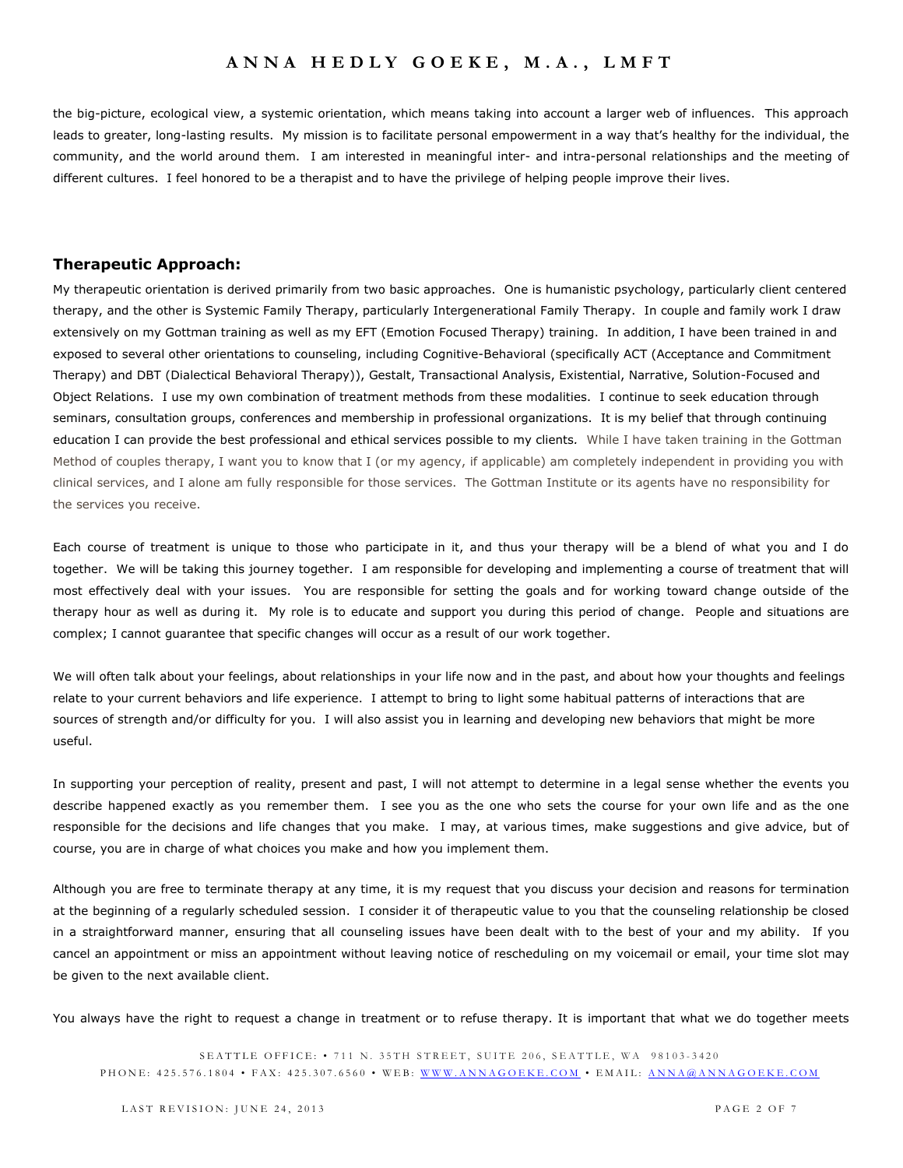the big-picture, ecological view, a systemic orientation, which means taking into account a larger web of influences. This approach leads to greater, long-lasting results. My mission is to facilitate personal empowerment in a way that's healthy for the individual, the community, and the world around them. I am interested in meaningful inter- and intra-personal relationships and the meeting of different cultures. I feel honored to be a therapist and to have the privilege of helping people improve their lives.

#### **Therapeutic Approach:**

My therapeutic orientation is derived primarily from two basic approaches. One is humanistic psychology, particularly client centered therapy, and the other is Systemic Family Therapy, particularly Intergenerational Family Therapy. In couple and family work I draw extensively on my Gottman training as well as my EFT (Emotion Focused Therapy) training. In addition, I have been trained in and exposed to several other orientations to counseling, including Cognitive-Behavioral (specifically ACT (Acceptance and Commitment Therapy) and DBT (Dialectical Behavioral Therapy)), Gestalt, Transactional Analysis, Existential, Narrative, Solution-Focused and Object Relations. I use my own combination of treatment methods from these modalities. I continue to seek education through seminars, consultation groups, conferences and membership in professional organizations. It is my belief that through continuing education I can provide the best professional and ethical services possible to my clients*.* While I have taken training in the Gottman Method of couples therapy, I want you to know that I (or my agency, if applicable) am completely independent in providing you with clinical services, and I alone am fully responsible for those services. The Gottman Institute or its agents have no responsibility for the services you receive.

Each course of treatment is unique to those who participate in it, and thus your therapy will be a blend of what you and I do together. We will be taking this journey together. I am responsible for developing and implementing a course of treatment that will most effectively deal with your issues. You are responsible for setting the goals and for working toward change outside of the therapy hour as well as during it. My role is to educate and support you during this period of change. People and situations are complex; I cannot guarantee that specific changes will occur as a result of our work together.

We will often talk about your feelings, about relationships in your life now and in the past, and about how your thoughts and feelings relate to your current behaviors and life experience. I attempt to bring to light some habitual patterns of interactions that are sources of strength and/or difficulty for you. I will also assist you in learning and developing new behaviors that might be more useful.

In supporting your perception of reality, present and past, I will not attempt to determine in a legal sense whether the events you describe happened exactly as you remember them. I see you as the one who sets the course for your own life and as the one responsible for the decisions and life changes that you make. I may, at various times, make suggestions and give advice, but of course, you are in charge of what choices you make and how you implement them.

Although you are free to terminate therapy at any time, it is my request that you discuss your decision and reasons for termination at the beginning of a regularly scheduled session. I consider it of therapeutic value to you that the counseling relationship be closed in a straightforward manner, ensuring that all counseling issues have been dealt with to the best of your and my ability. If you cancel an appointment or miss an appointment without leaving notice of rescheduling on my voicemail or email, your time slot may be given to the next available client.

You always have the right to request a change in treatment or to refuse therapy. It is important that what we do together meets

SEATTLE OFFICE: • 711 N. 35TH STREET, SUITE 206, SEATTLE, WA 98103-3420 P H O N E : 425.576.1804 • FAX: 425.307.6560 • WEB: WWW.ANNAGOEKE.COM • EMAIL: ANNA@ANNAGOEKE.COM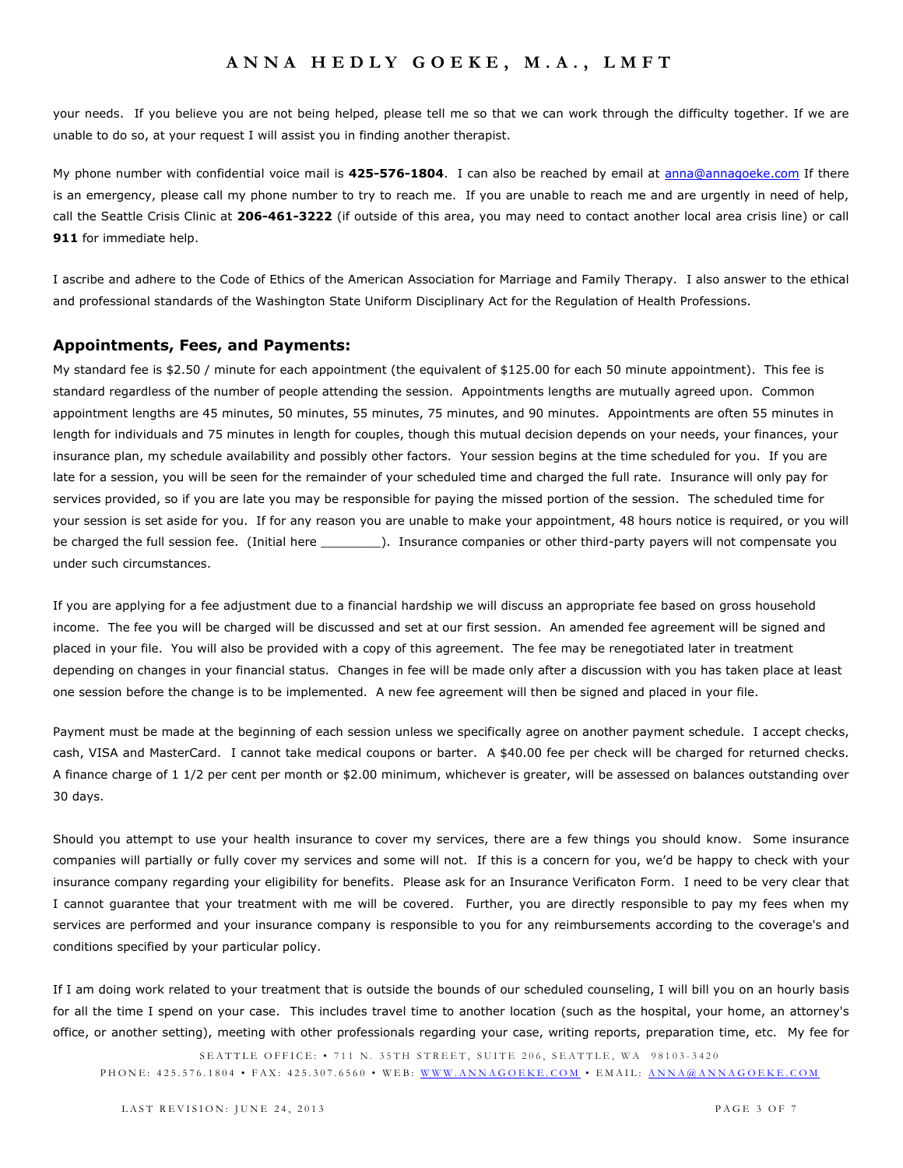your needs. If you believe you are not being helped, please tell me so that we can work through the difficulty together. If we are unable to do so, at your request I will assist you in finding another therapist.

My phone number with confidential voice mail is **425-576-1804**. I can also be reached by email at [anna@annagoeke.com](mailto:anna@annagoeke.com) If there is an emergency, please call my phone number to try to reach me. If you are unable to reach me and are urgently in need of help, call the Seattle Crisis Clinic at **206-461-3222** (if outside of this area, you may need to contact another local area crisis line) or call **911** for immediate help.

I ascribe and adhere to the Code of Ethics of the American Association for Marriage and Family Therapy. I also answer to the ethical and professional standards of the Washington State Uniform Disciplinary Act for the Regulation of Health Professions.

#### **Appointments, Fees, and Payments:**

My standard fee is \$2.50 / minute for each appointment (the equivalent of \$125.00 for each 50 minute appointment). This fee is standard regardless of the number of people attending the session. Appointments lengths are mutually agreed upon. Common appointment lengths are 45 minutes, 50 minutes, 55 minutes, 75 minutes, and 90 minutes. Appointments are often 55 minutes in length for individuals and 75 minutes in length for couples, though this mutual decision depends on your needs, your finances, your insurance plan, my schedule availability and possibly other factors. Your session begins at the time scheduled for you. If you are late for a session, you will be seen for the remainder of your scheduled time and charged the full rate. Insurance will only pay for services provided, so if you are late you may be responsible for paying the missed portion of the session. The scheduled time for your session is set aside for you. If for any reason you are unable to make your appointment, 48 hours notice is required, or you will be charged the full session fee. (Initial here \_\_\_\_\_\_\_\_). Insurance companies or other third-party payers will not compensate you under such circumstances.

If you are applying for a fee adjustment due to a financial hardship we will discuss an appropriate fee based on gross household income. The fee you will be charged will be discussed and set at our first session. An amended fee agreement will be signed and placed in your file. You will also be provided with a copy of this agreement. The fee may be renegotiated later in treatment depending on changes in your financial status. Changes in fee will be made only after a discussion with you has taken place at least one session before the change is to be implemented. A new fee agreement will then be signed and placed in your file.

Payment must be made at the beginning of each session unless we specifically agree on another payment schedule. I accept checks, cash, VISA and MasterCard. I cannot take medical coupons or barter. A \$40.00 fee per check will be charged for returned checks. A finance charge of 1 1/2 per cent per month or \$2.00 minimum, whichever is greater, will be assessed on balances outstanding over 30 days.

Should you attempt to use your health insurance to cover my services, there are a few things you should know. Some insurance companies will partially or fully cover my services and some will not. If this is a concern for you, we'd be happy to check with your insurance company regarding your eligibility for benefits. Please ask for an Insurance Verificaton Form. I need to be very clear that I cannot guarantee that your treatment with me will be covered. Further, you are directly responsible to pay my fees when my services are performed and your insurance company is responsible to you for any reimbursements according to the coverage's and conditions specified by your particular policy.

If I am doing work related to your treatment that is outside the bounds of our scheduled counseling, I will bill you on an hourly basis for all the time I spend on your case. This includes travel time to another location (such as the hospital, your home, an attorney's office, or another setting), meeting with other professionals regarding your case, writing reports, preparation time, etc. My fee for

SEATTLE OFFICE: • 711 N. 35TH STREET, SUITE 206, SEATTLE, WA 98103-3420 P H ON E: 425.576.1804 • FAX: 425.307.6560 • WEB: WWW.ANNAGOEKE.COM • EMAIL: ANNA@ANNAGOEKE.COM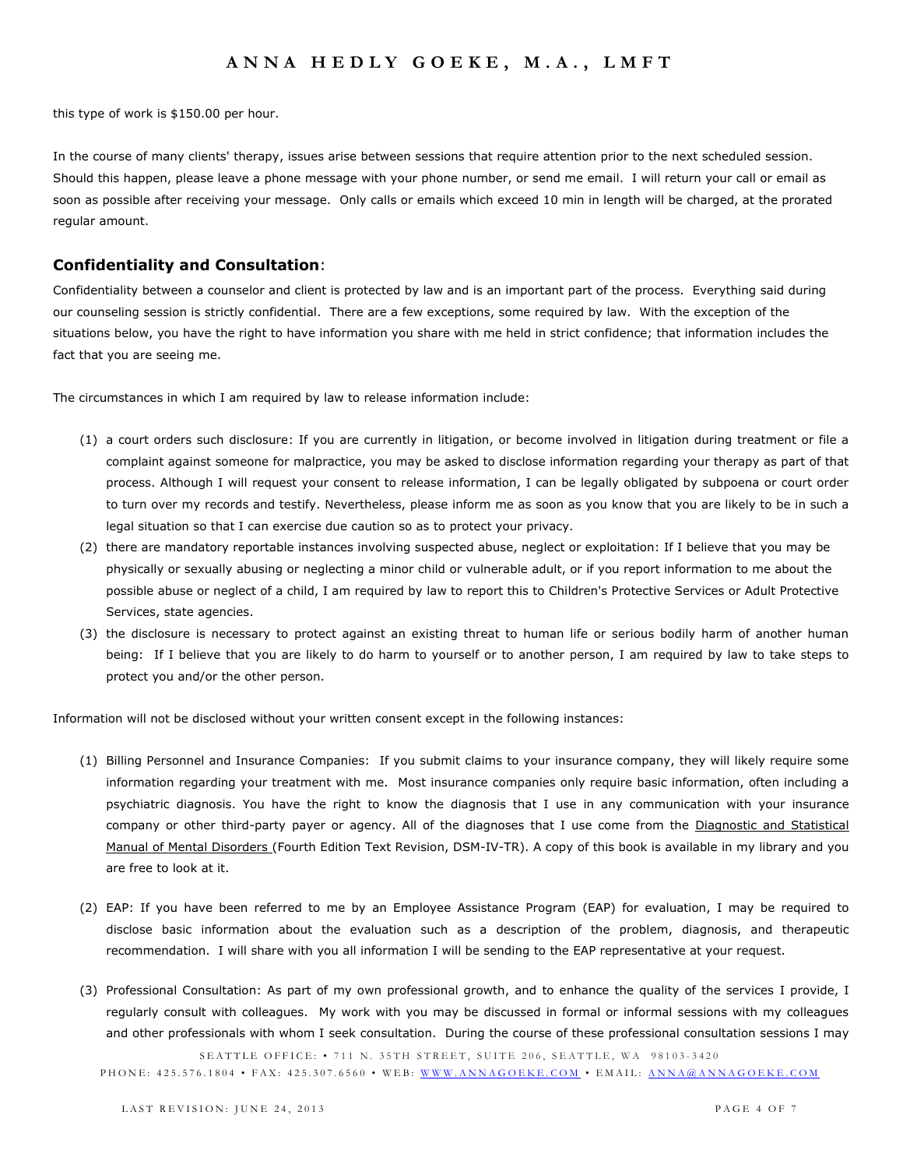this type of work is \$150.00 per hour.

In the course of many clients' therapy, issues arise between sessions that require attention prior to the next scheduled session. Should this happen, please leave a phone message with your phone number, or send me email. I will return your call or email as soon as possible after receiving your message. Only calls or emails which exceed 10 min in length will be charged, at the prorated regular amount.

#### **Confidentiality and Consultation**:

Confidentiality between a counselor and client is protected by law and is an important part of the process. Everything said during our counseling session is strictly confidential. There are a few exceptions, some required by law. With the exception of the situations below, you have the right to have information you share with me held in strict confidence; that information includes the fact that you are seeing me.

The circumstances in which I am required by law to release information include:

- (1) a court orders such disclosure: If you are currently in litigation, or become involved in litigation during treatment or file a complaint against someone for malpractice, you may be asked to disclose information regarding your therapy as part of that process. Although I will request your consent to release information, I can be legally obligated by subpoena or court order to turn over my records and testify. Nevertheless, please inform me as soon as you know that you are likely to be in such a legal situation so that I can exercise due caution so as to protect your privacy.
- (2) there are mandatory reportable instances involving suspected abuse, neglect or exploitation: If I believe that you may be physically or sexually abusing or neglecting a minor child or vulnerable adult, or if you report information to me about the possible abuse or neglect of a child, I am required by law to report this to Children's Protective Services or Adult Protective Services, state agencies.
- (3) the disclosure is necessary to protect against an existing threat to human life or serious bodily harm of another human being: If I believe that you are likely to do harm to yourself or to another person, I am required by law to take steps to protect you and/or the other person.

Information will not be disclosed without your written consent except in the following instances:

- (1) Billing Personnel and Insurance Companies: If you submit claims to your insurance company, they will likely require some information regarding your treatment with me. Most insurance companies only require basic information, often including a psychiatric diagnosis. You have the right to know the diagnosis that I use in any communication with your insurance company or other third-party payer or agency. All of the diagnoses that I use come from the Diagnostic and Statistical Manual of Mental Disorders (Fourth Edition Text Revision, DSM-IV-TR). A copy of this book is available in my library and you are free to look at it.
- (2) EAP: If you have been referred to me by an Employee Assistance Program (EAP) for evaluation, I may be required to disclose basic information about the evaluation such as a description of the problem, diagnosis, and therapeutic recommendation. I will share with you all information I will be sending to the EAP representative at your request.
- (3) Professional Consultation: As part of my own professional growth, and to enhance the quality of the services I provide, I regularly consult with colleagues. My work with you may be discussed in formal or informal sessions with my colleagues and other professionals with whom I seek consultation. During the course of these professional consultation sessions I may

SEATTLE OFFICE: • 711 N. 35TH STREET, SUITE 206, SEATTLE, WA 98103-3420 P H O N E : 425.576.1804 • FAX: 425.307.6560 • WEB: WWW.ANNAGOEKE.COM • EMAIL: ANNA@ANNAGOEKE.COM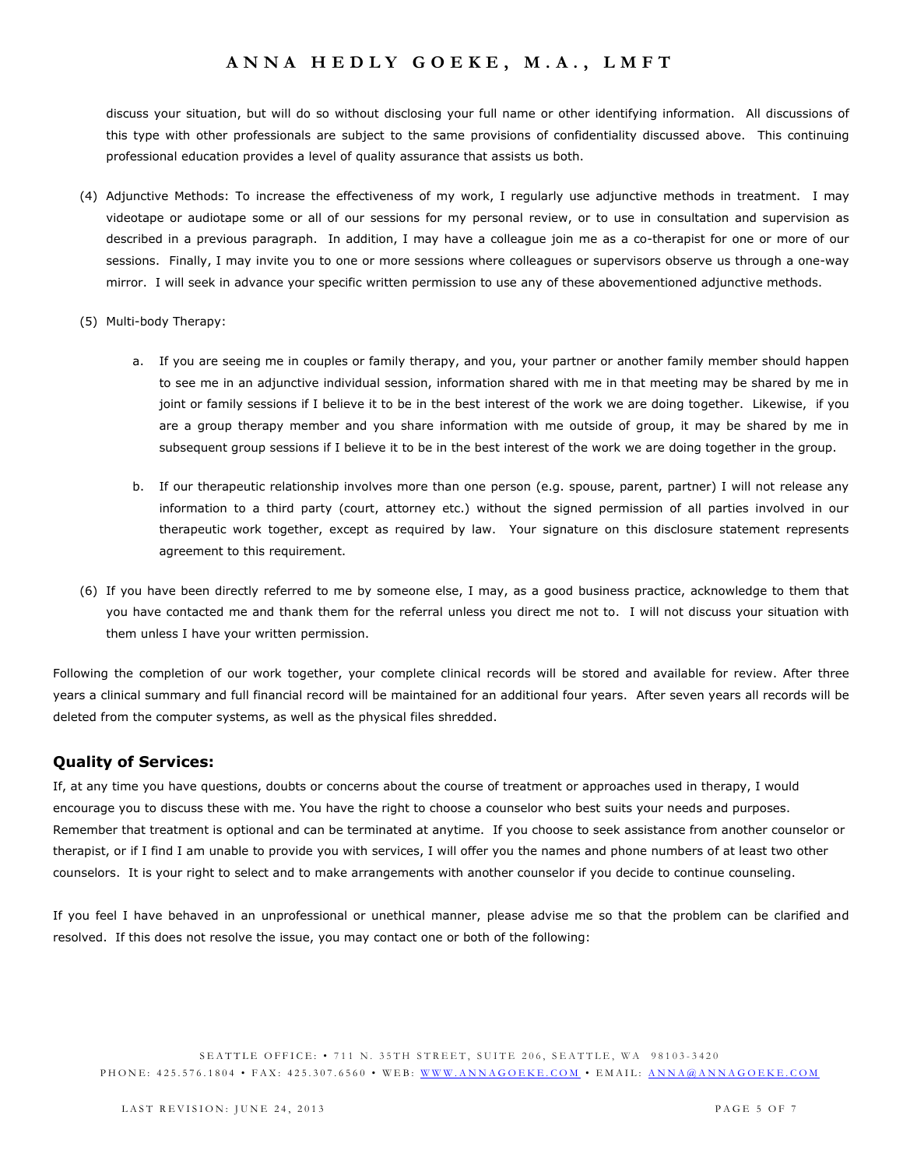discuss your situation, but will do so without disclosing your full name or other identifying information. All discussions of this type with other professionals are subject to the same provisions of confidentiality discussed above. This continuing professional education provides a level of quality assurance that assists us both.

- (4) Adjunctive Methods: To increase the effectiveness of my work, I regularly use adjunctive methods in treatment. I may videotape or audiotape some or all of our sessions for my personal review, or to use in consultation and supervision as described in a previous paragraph. In addition, I may have a colleague join me as a co-therapist for one or more of our sessions. Finally, I may invite you to one or more sessions where colleagues or supervisors observe us through a one-way mirror. I will seek in advance your specific written permission to use any of these abovementioned adjunctive methods.
- (5) Multi-body Therapy:
	- a. If you are seeing me in couples or family therapy, and you, your partner or another family member should happen to see me in an adjunctive individual session, information shared with me in that meeting may be shared by me in joint or family sessions if I believe it to be in the best interest of the work we are doing together. Likewise, if you are a group therapy member and you share information with me outside of group, it may be shared by me in subsequent group sessions if I believe it to be in the best interest of the work we are doing together in the group.
	- b. If our therapeutic relationship involves more than one person (e.g. spouse, parent, partner) I will not release any information to a third party (court, attorney etc.) without the signed permission of all parties involved in our therapeutic work together, except as required by law. Your signature on this disclosure statement represents agreement to this requirement.
- (6) If you have been directly referred to me by someone else, I may, as a good business practice, acknowledge to them that you have contacted me and thank them for the referral unless you direct me not to. I will not discuss your situation with them unless I have your written permission.

Following the completion of our work together, your complete clinical records will be stored and available for review. After three years a clinical summary and full financial record will be maintained for an additional four years. After seven years all records will be deleted from the computer systems, as well as the physical files shredded.

### **Quality of Services:**

If, at any time you have questions, doubts or concerns about the course of treatment or approaches used in therapy, I would encourage you to discuss these with me. You have the right to choose a counselor who best suits your needs and purposes. Remember that treatment is optional and can be terminated at anytime. If you choose to seek assistance from another counselor or therapist, or if I find I am unable to provide you with services, I will offer you the names and phone numbers of at least two other counselors. It is your right to select and to make arrangements with another counselor if you decide to continue counseling.

If you feel I have behaved in an unprofessional or unethical manner, please advise me so that the problem can be clarified and resolved. If this does not resolve the issue, you may contact one or both of the following: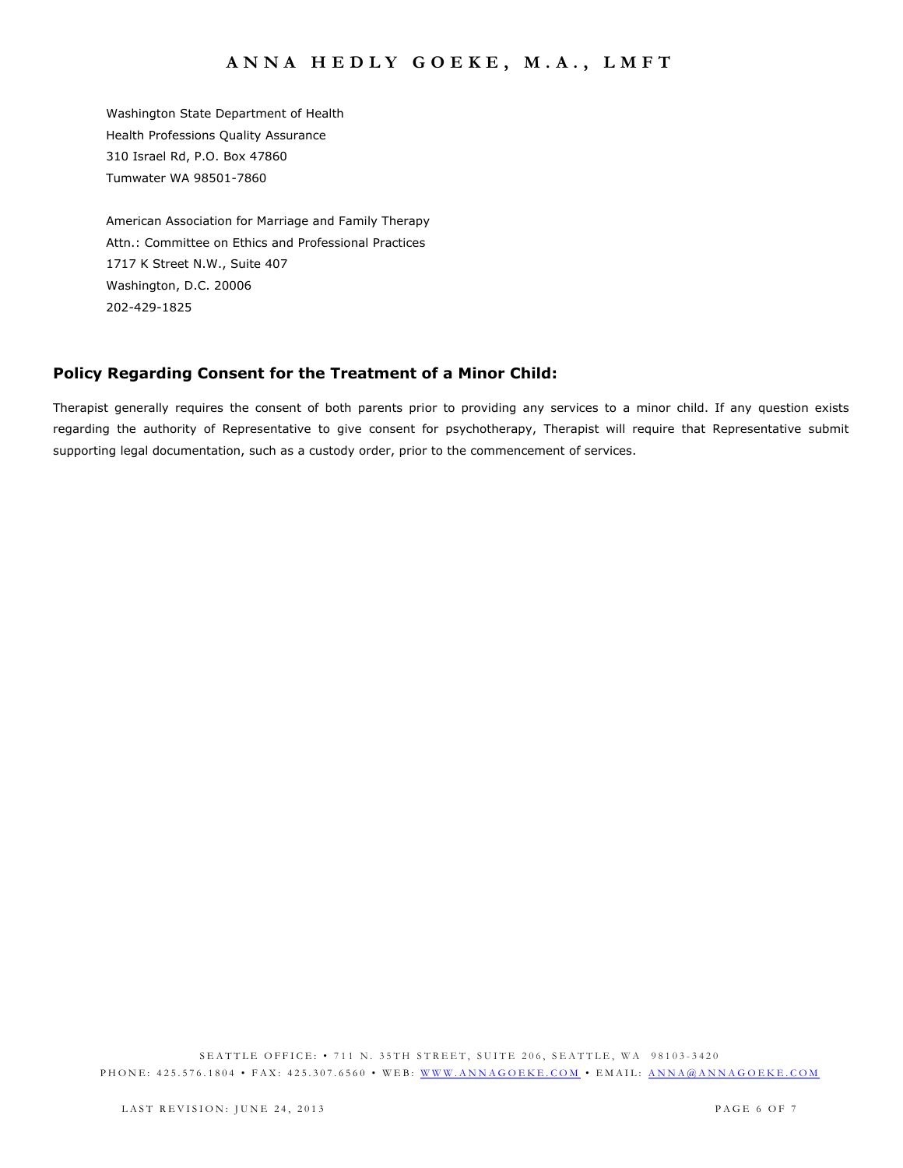Washington State Department of Health Health Professions Quality Assurance 310 Israel Rd, P.O. Box 47860 Tumwater WA 98501-7860

American Association for Marriage and Family Therapy Attn.: Committee on Ethics and Professional Practices 1717 K Street N.W., Suite 407 Washington, D.C. 20006 202-429-1825

# **Policy Regarding Consent for the Treatment of a Minor Child:**

Therapist generally requires the consent of both parents prior to providing any services to a minor child. If any question exists regarding the authority of Representative to give consent for psychotherapy, Therapist will require that Representative submit supporting legal documentation, such as a custody order, prior to the commencement of services.